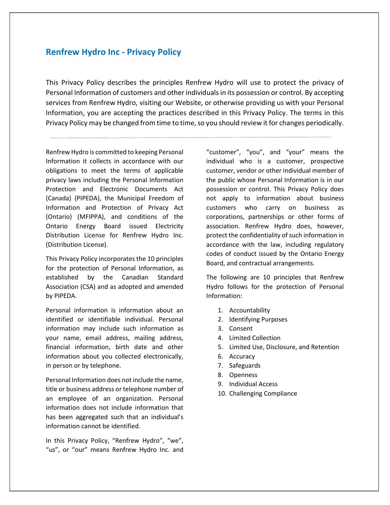# **Renfrew Hydro Inc - Privacy Policy**

This Privacy Policy describes the principles Renfrew Hydro will use to protect the privacy of Personal Information of customers and other individuals in its possession or control. By accepting services from Renfrew Hydro, visiting our Website, or otherwise providing us with your Personal Information, you are accepting the practices described in this Privacy Policy. The terms in this Privacy Policy may be changed from time to time, so you should review it for changes periodically.

Renfrew Hydro is committed to keeping Personal Information it collects in accordance with our obligations to meet the terms of applicable privacy laws including the Personal Information Protection and Electronic Documents Act (Canada) (PIPEDA), the Municipal Freedom of Information and Protection of Privacy Act (Ontario) (MFIPPA), and conditions of the Ontario Energy Board issued Electricity Distribution License for Renfrew Hydro Inc. (Distribution License).

This Privacy Policy incorporates the 10 principles for the protection of Personal Information, as established by the Canadian Standard Association (CSA) and as adopted and amended by PIPEDA.

Personal information is information about an identified or identifiable individual. Personal information may include such information as your name, email address, mailing address, financial information, birth date and other information about you collected electronically, in person or by telephone.

Personal Information does not include the name, title or business address or telephone number of an employee of an organization. Personal information does not include information that has been aggregated such that an individual's information cannot be identified.

In this Privacy Policy, "Renfrew Hydro", "we", "us", or "our" means Renfrew Hydro Inc. and "customer", "you", and "your" means the individual who is a customer, prospective customer, vendor or other individual member of the public whose Personal Information is in our possession or control. This Privacy Policy does not apply to information about business customers who carry on business as corporations, partnerships or other forms of association. Renfrew Hydro does, however, protect the confidentiality of such information in accordance with the law, including regulatory codes of conduct issued by the Ontario Energy Board, and contractual arrangements.

The following are 10 principles that Renfrew Hydro follows for the protection of Personal Information:

- 1. Accountability
- 2. Identifying Purposes
- 3. Consent
- 4. Limited Collection
- 5. Limited Use, Disclosure, and Retention
- 6. Accuracy
- 7. Safeguards
- 8. Openness
- 9. Individual Access
- 10. Challenging Compliance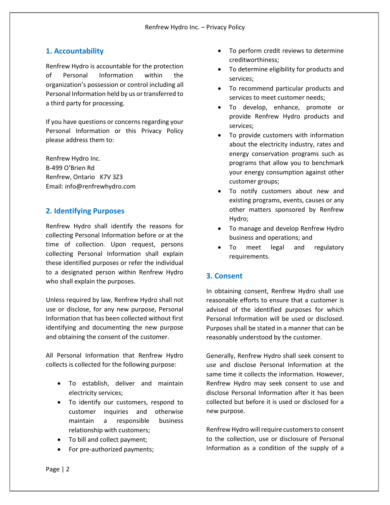## **1. Accountability**

Renfrew Hydro is accountable for the protection of Personal Information within the organization's possession or control including all Personal Information held by us or transferred to a third party for processing.

If you have questions or concerns regarding your Personal Information or this Privacy Policy please address them to:

Renfrew Hydro Inc. B-499 O'Brien Rd Renfrew, Ontario K7V 3Z3 Email: info@renfrewhydro.com

## **2. Identifying Purposes**

Renfrew Hydro shall identify the reasons for collecting Personal Information before or at the time of collection. Upon request, persons collecting Personal Information shall explain these identified purposes or refer the individual to a designated person within Renfrew Hydro who shall explain the purposes.

Unless required by law, Renfrew Hydro shall not use or disclose, for any new purpose, Personal Information that has been collected without first identifying and documenting the new purpose and obtaining the consent of the customer.

All Personal Information that Renfrew Hydro collects is collected for the following purpose:

- To establish, deliver and maintain electricity services;
- To identify our customers, respond to customer inquiries and otherwise maintain a responsible business relationship with customers;
- To bill and collect payment;
- For pre-authorized payments;
- To perform credit reviews to determine creditworthiness;
- To determine eligibility for products and services;
- To recommend particular products and services to meet customer needs;
- To develop, enhance, promote or provide Renfrew Hydro products and services;
- To provide customers with information about the electricity industry, rates and energy conservation programs such as programs that allow you to benchmark your energy consumption against other customer groups;
- To notify customers about new and existing programs, events, causes or any other matters sponsored by Renfrew Hydro;
- To manage and develop Renfrew Hydro business and operations; and
- To meet legal and regulatory requirements.

#### **3. Consent**

In obtaining consent, Renfrew Hydro shall use reasonable efforts to ensure that a customer is advised of the identified purposes for which Personal Information will be used or disclosed. Purposes shall be stated in a manner that can be reasonably understood by the customer.

Generally, Renfrew Hydro shall seek consent to use and disclose Personal Information at the same time it collects the information. However, Renfrew Hydro may seek consent to use and disclose Personal Information after it has been collected but before it is used or disclosed for a new purpose.

Renfrew Hydro will require customers to consent to the collection, use or disclosure of Personal Information as a condition of the supply of a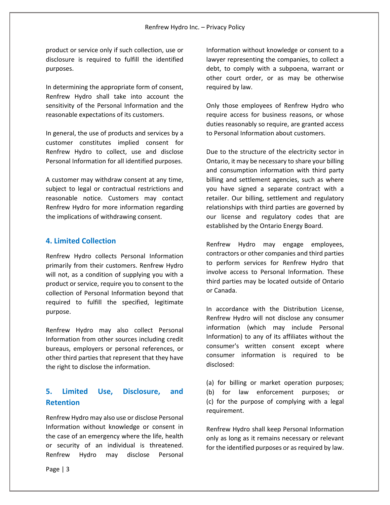product or service only if such collection, use or disclosure is required to fulfill the identified purposes.

In determining the appropriate form of consent, Renfrew Hydro shall take into account the sensitivity of the Personal Information and the reasonable expectations of its customers.

In general, the use of products and services by a customer constitutes implied consent for Renfrew Hydro to collect, use and disclose Personal Information for all identified purposes.

A customer may withdraw consent at any time, subject to legal or contractual restrictions and reasonable notice. Customers may contact Renfrew Hydro for more information regarding the implications of withdrawing consent.

#### **4. Limited Collection**

Renfrew Hydro collects Personal Information primarily from their customers. Renfrew Hydro will not, as a condition of supplying you with a product or service, require you to consent to the collection of Personal Information beyond that required to fulfill the specified, legitimate purpose.

Renfrew Hydro may also collect Personal Information from other sources including credit bureaus, employers or personal references, or other third parties that represent that they have the right to disclose the information.

# **5. Limited Use, Disclosure, and Retention**

Renfrew Hydro may also use or disclose Personal Information without knowledge or consent in the case of an emergency where the life, health or security of an individual is threatened. Renfrew Hydro may disclose Personal

Information without knowledge or consent to a lawyer representing the companies, to collect a debt, to comply with a subpoena, warrant or other court order, or as may be otherwise required by law.

Only those employees of Renfrew Hydro who require access for business reasons, or whose duties reasonably so require, are granted access to Personal Information about customers.

Due to the structure of the electricity sector in Ontario, it may be necessary to share your billing and consumption information with third party billing and settlement agencies, such as where you have signed a separate contract with a retailer. Our billing, settlement and regulatory relationships with third parties are governed by our license and regulatory codes that are established by the Ontario Energy Board.

Renfrew Hydro may engage employees, contractors or other companies and third parties to perform services for Renfrew Hydro that involve access to Personal Information. These third parties may be located outside of Ontario or Canada.

In accordance with the Distribution License, Renfrew Hydro will not disclose any consumer information (which may include Personal Information) to any of its affiliates without the consumer's written consent except where consumer information is required to be disclosed:

(a) for billing or market operation purposes; (b) for law enforcement purposes; or (c) for the purpose of complying with a legal requirement.

Renfrew Hydro shall keep Personal Information only as long as it remains necessary or relevant for the identified purposes or as required by law.

Page | 3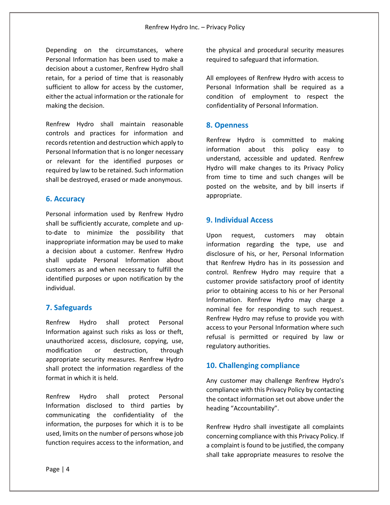Depending on the circumstances, where Personal Information has been used to make a decision about a customer, Renfrew Hydro shall retain, for a period of time that is reasonably sufficient to allow for access by the customer, either the actual information or the rationale for making the decision.

Renfrew Hydro shall maintain reasonable controls and practices for information and records retention and destruction which apply to Personal Information that is no longer necessary or relevant for the identified purposes or required by law to be retained. Such information shall be destroyed, erased or made anonymous.

## **6. Accuracy**

Personal information used by Renfrew Hydro shall be sufficiently accurate, complete and upto-date to minimize the possibility that inappropriate information may be used to make a decision about a customer. Renfrew Hydro shall update Personal Information about customers as and when necessary to fulfill the identified purposes or upon notification by the individual.

## **7. Safeguards**

Renfrew Hydro shall protect Personal Information against such risks as loss or theft, unauthorized access, disclosure, copying, use, modification or destruction, through appropriate security measures. Renfrew Hydro shall protect the information regardless of the format in which it is held.

Renfrew Hydro shall protect Personal Information disclosed to third parties by communicating the confidentiality of the information, the purposes for which it is to be used, limits on the number of persons whose job function requires access to the information, and

the physical and procedural security measures required to safeguard that information.

All employees of Renfrew Hydro with access to Personal Information shall be required as a condition of employment to respect the confidentiality of Personal Information.

#### **8. Openness**

Renfrew Hydro is committed to making information about this policy easy to understand, accessible and updated. Renfrew Hydro will make changes to its Privacy Policy from time to time and such changes will be posted on the website, and by bill inserts if appropriate.

## **9. Individual Access**

Upon request, customers may obtain information regarding the type, use and disclosure of his, or her, Personal Information that Renfrew Hydro has in its possession and control. Renfrew Hydro may require that a customer provide satisfactory proof of identity prior to obtaining access to his or her Personal Information. Renfrew Hydro may charge a nominal fee for responding to such request. Renfrew Hydro may refuse to provide you with access to your Personal Information where such refusal is permitted or required by law or regulatory authorities.

## **10. Challenging compliance**

Any customer may challenge Renfrew Hydro's compliance with this Privacy Policy by contacting the contact information set out above under the heading "Accountability".

Renfrew Hydro shall investigate all complaints concerning compliance with this Privacy Policy. If a complaint is found to be justified, the company shall take appropriate measures to resolve the